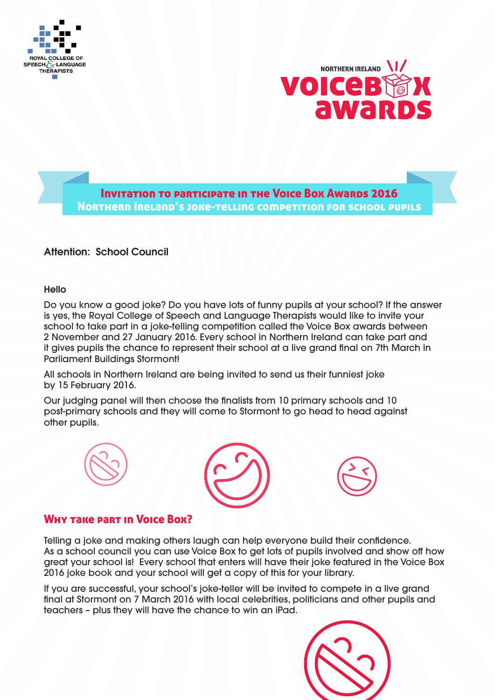



**Attention: School Council Council Council Council Council Council Service Society Awards 2016** Northern Ireland's joke-telling competition for school pupils

## Attention: School Council

## Hello

Do you know a good joke? Do you have lots of funny pupils at your school? If the answer is yes, the Royal College of Speech and Language Therapists would like to invite your school to take part in a joke-telling competition called the Voice Box awards between 2 November and 27 January 2016. Every school in Northern Ireland can take part and it gives pupils the chance to represent their school at a live grand final on 7th March in Parliament Buildings Stormont!

All schools in Northern Ireland are being invited to send us their funniest joke by 15 February 2016.

Our judging panel will then choose the finalists from 10 primary schools and 10 post-primary schools and they will come to Stormont to go head to head against other pupils.







## Why take part in Voice Box?

Telling a joke and making others laugh can help everyone build their confidence. As a school council you can use Voice Box to get lots of pupils involved and show off how great your school is! Every school that enters will have their joke featured in the Voice Box 2016 joke book and your school will get a copy of this for your library.

If you are successful, your school's joke-teller will be invited to compete in a live grand final at Stormont on 7 March 2016 with local celebrities, politicians and other pupils and teachers – plus they will have the chance to win an iPad.